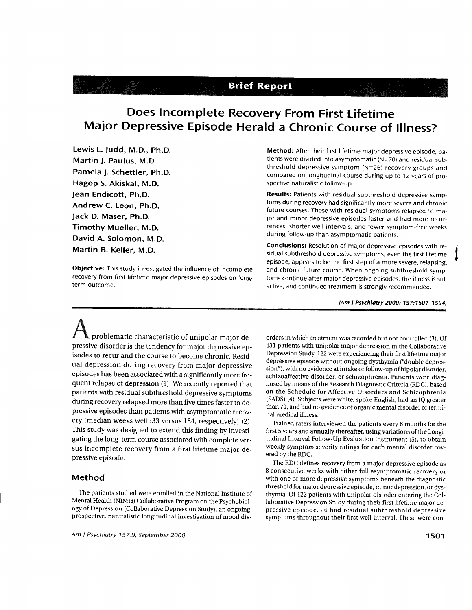# **Brief Report**

# Does Incomplete Recovery From First Lifetime Major Depressive Episode Herald a Chronic Course of lllness?

Lewis L. Judd, M.D., Ph.D. Martin J. Paulus, M.D. Pamela J. Schettler, ph.D. Hagop S. Akiskal, M.D. Jean Endicott, Ph.D. Andrew C. Leon, Ph.D. Jack D. Maser, Ph.D. Timothy Mueller, M.D. David A. Solomon, M.D. Martin B. Keller, M.D.

Objective: This study investigated the influence of incomplete recovery from first lifetime major depressive episodes on longterm outcome.

Method: After their first lifetime major depressive episode, patients were divided into asymptomatic (N=70) and residual subthreshold depressive symptom (N=26) recovery groups and compared on longitudinal course during up to 12 years of prospective naturalistic follow-up.

Results: Patients with residual subthreshold depressive symptoms during recovery had significantly more severe and chronic future courses. Those with residual symptoms relapsed to major and minor depressive episodes faster and had more recurrences, shorter well intervals, and fewer symptom-free weeks during follow-up than asymptomatic patients.

Conclusions: Resolution of major depressive episodes with residual subthreshold depressive symptoms, even the first lifetime episode, appears to be the fint step of a more severe, relapsing, and chronic future course. When ongoing subthreshold symptoms continue after major depressive episodes, the illness is still active, and continued treatment is strongly recommended.

(Am I Psychiatry 2000; 157:1501-1504)

 $\mathcal{L}$  **L** problematic characteristic of unipolar major depressive disorder is the tendency for major depressive episodes to recur and the course to become chronic. Residual depression during recovery from major depressive episodes has been associated with a significantly more frequent relapse of depression (1). We recently reported that patients with residual subthreshold depressive symptoms during recovery relapsed more than five times faster to depressive episodes than patients with asymptomatic recovery (median weeks well=33 versus 184, respectively) (2). This study was designed to extend this finding by investigating the long-term course associated with complete versus incomplete recovery from a first lifetime major depressive episode.

### Method

The patients studied were enrolled in the National Instirute of Mental Health (NIMH) Collaborative Program on the psychobiology of Depression (Collaborative Depression Study), an ongoing, prospective, naturalistic longitudinal investigation of mood dis-

orders in which rreatment was recorded but not controlled (3). Of 431 patients with unipolar major depression in the Collaborative Depression Study, 122 were experiencing their first lifetime major depressive episode without ongoing dysthymia ("double depression"), with no evidence at intake or follow-up of bipolar disorder, schizoaffective disorder, or schizophrenia. Patients were diagnosed by means of the Research Diagnostic Criteria (RDC), based on the Schedule for Affective Disorders and Schizophrenia (SADS) (4). Subjects were white, spoke English, had an IQ greater than 70, and had no evidence of organic mental disorder or terminal medical illness.

Trained raters interviewed the patients every 6 months for the first 5 years and annually thereafter, using variations of the Longitudinal Interval Follow-Up Evaluation instrument (5), ro obtain weekly symptom severity ratings for each mental disorder covered bythe RDC.

The RDC defines recovery from a major depressive episode as 8 consecutive weeks with either full asymptomatic recovery or with one or more depressive symptoms beneath the diagnostic threshold for major depressive episode, minor depression, or dysthymia. Of 122 patients with unipolar disorder entering the Collaborative Depression Srudy during their first lifetime major depressive episode, 26 had residual subthreshold depressive symptoms throughout their first well interval. These were con-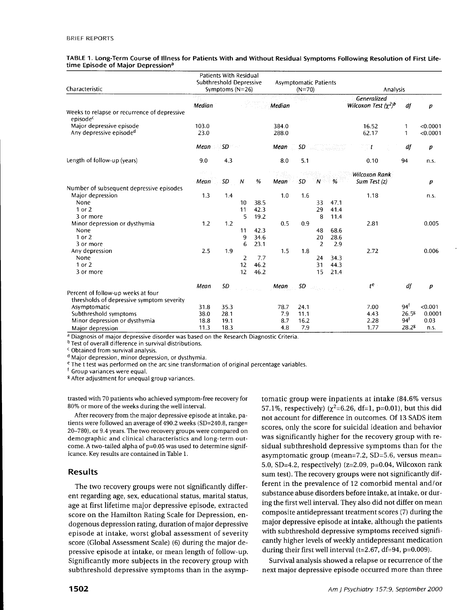| Characteristic                                                       | <b>Patients With Residual</b><br>Subthreshold Depressive<br>Symptoms ( $N=26$ ) |      |                |      | <b>Asymptomatic Patients</b><br>$(N=70)$ |      |                |      | Analysis                                  |                   |                      |  |
|----------------------------------------------------------------------|---------------------------------------------------------------------------------|------|----------------|------|------------------------------------------|------|----------------|------|-------------------------------------------|-------------------|----------------------|--|
|                                                                      | Median                                                                          |      |                |      | Median                                   |      |                |      | Generalized<br>Wilcoxon Test $(\chi^2)^b$ | df                | $\boldsymbol{p}$     |  |
| Weeks to relapse or recurrence of depressive<br>episode <sup>c</sup> |                                                                                 |      |                |      |                                          |      |                |      |                                           |                   |                      |  |
| Major depressive episode<br>Any depressive episode <sup>d</sup>      | 103.0<br>23.0                                                                   |      |                |      | 384.0<br>288.0                           |      |                |      | 16.52<br>62.17                            | 1<br>$\mathbf{1}$ | < 0.0001<br>< 0.0001 |  |
|                                                                      |                                                                                 |      |                |      |                                          |      |                |      |                                           |                   |                      |  |
|                                                                      | Mean                                                                            | SD - |                |      | Mean<br>$\mathcal{L}_{\mathcal{L}}$      | SD   |                |      | $\mathbb{Z}^m$                            | df                | р                    |  |
| Length of follow-up (years)                                          | 9.0                                                                             | 4.3  |                |      | 8.0                                      | 5.1  |                |      | 0.10                                      | 94                | n.s.                 |  |
|                                                                      | a tati                                                                          |      |                |      |                                          |      |                |      | Wilcoxon Rank                             |                   |                      |  |
|                                                                      | Mean                                                                            | SD   | N              | %    | Mean                                     | SD   | 'N             | %    | Sum Test $(z)$                            |                   | p                    |  |
| Number of subsequent depressive episodes                             |                                                                                 |      |                |      |                                          |      |                |      |                                           |                   |                      |  |
| Major depression                                                     | 1.3                                                                             | 1.4  |                |      | 1.0                                      | 1.6  |                |      | 1.18                                      |                   | n.s.                 |  |
| None                                                                 |                                                                                 |      | 10             | 38.5 |                                          |      | 33             | 47.1 |                                           |                   |                      |  |
| 1 or 2                                                               |                                                                                 |      | 11             | 42.3 |                                          |      | 29             | 41.4 |                                           |                   |                      |  |
| 3 or more                                                            |                                                                                 |      | 5              | 19.2 |                                          |      | 8              | 11.4 |                                           |                   |                      |  |
| Minor depression or dysthymia<br>None                                | 1.2                                                                             | 1.2  | 11             | 42.3 | 0.5                                      | 0.9  | 48             | 68.6 | 2.81                                      |                   | 0.005                |  |
| 1 or 2                                                               |                                                                                 |      | 9              | 34.6 |                                          |      | 20             | 28.6 |                                           |                   |                      |  |
| 3 or more                                                            |                                                                                 |      | 6              | 23.1 |                                          |      | $\overline{2}$ | 2.9  |                                           |                   |                      |  |
| Any depression                                                       | 2.5                                                                             | 1.9  |                |      | 1.5                                      | 1.8  |                |      | 2.72                                      |                   | 0.006                |  |
| None                                                                 |                                                                                 |      | $\overline{2}$ | 7.7  |                                          |      | 24             | 34.3 |                                           |                   |                      |  |
| 1 or 2                                                               |                                                                                 |      | 12             | 46.2 |                                          |      | 31             | 44.3 |                                           |                   |                      |  |
| 3 or more                                                            |                                                                                 |      | 12             | 46.2 |                                          |      | 15             | 21.4 |                                           |                   |                      |  |
|                                                                      | Mean                                                                            | SD   |                |      | Mean.                                    | SD   | Cabinet Co.    |      | $t^e$                                     | df                | $\boldsymbol{p}$     |  |
| Percent of follow-up weeks at four                                   |                                                                                 |      |                |      |                                          |      |                |      |                                           |                   |                      |  |
| thresholds of depressive symptom severity                            |                                                                                 |      |                |      |                                          |      |                |      |                                           |                   |                      |  |
| Asymptomatic                                                         | 31.8                                                                            | 35.3 |                |      | 78.7                                     | 24.1 |                |      | 7.00                                      | $94^{\dagger}$    | < 0.001              |  |
| Subthreshold symptoms                                                | 38.0                                                                            | 28.1 |                |      | 7.9                                      | 11.1 |                |      | 4.43                                      | 26.58             | 0.0001               |  |
| Minor depression or dysthymia                                        | 18.8                                                                            | 19.1 |                |      | 8.7                                      | 16.2 |                |      | 2.28                                      | $94^{\dagger}$    | 0.03                 |  |
| Major depression                                                     | 11.3                                                                            | 18.3 |                |      | 4.8                                      | 7.9  |                |      | 1.77                                      | 28.28             | n.s.                 |  |

#### TABLE 1. Long-Term Course of Illness for Patients With and Without Residual Symptoms Following Resolution of First Lifetime Episode of Major Depression<sup>a</sup>

<sup>1</sup> Diagnosis of major depressive disorder was based on the Research Diagnostic Criteria.

<sup>b</sup> Test of overall difference in survival distributions.

<sup>c</sup> Obtained from survival analysis.

<sup>d</sup> Major depression, minor depression, or dysthymia.

<sup>e</sup> The t test was performed on the arc sine transformation of original percentage variables.

Group variances were equal.

<sup>8</sup> After adjustment for unequal group variances.

trasted with 70 patients who achieved symptom-free recovery for 80% or more of the weeks during the well interval.

After recovery from the major depressive episode at intake, patients were followed an average of 490.2 weeks (SD=240.8, range= 20-780), or 9.4 years. The two recovery groups were compared on demographic and clinical characteristics and long-term outcome. A two-tailed alpha of p=0.05 was used to determine significance. Key results are contained in Table 1.

#### **Results**

The two recovery groups were not significantly different regarding age, sex, educational status, marital status, age at first lifetime major depressive episode, extracted score on the Hamilton Rating Scale for Depression, endogenous depression rating, duration of major depressive episode at intake, worst global assessment of severity score (Global Assessment Scale) (6) during the major depressive episode at intake, or mean length of follow-up. Significantly more subjects in the recovery group with subthreshold depressive symptoms than in the asymptomatic group were inpatients at intake (84.6% versus 57.1%, respectively) ( $\chi^2$ =6.26, df=1, p=0.01), but this did not account for difference in outcomes. Of 13 SADS item scores, only the score for suicidal ideation and behavior was significantly higher for the recovery group with residual subthreshold depressive symptoms than for the asymptomatic group (mean=7.2, SD=5.6, versus mean= 5.0, SD=4.2, respectively)  $(z=2.09, p=0.04, Wilcoxon rank)$ sum test). The recovery groups were not significantly different in the prevalence of 12 comorbid mental and/or substance abuse disorders before intake, at intake, or during the first well interval. They also did not differ on mean composite antidepressant treatment scores (7) during the major depressive episode at intake, although the patients with subthreshold depressive symptoms received significantly higher levels of weekly antidepressant medication during their first well interval (t=2.67, df=94, p=0.009).

Survival analysis showed a relapse or recurrence of the next major depressive episode occurred more than three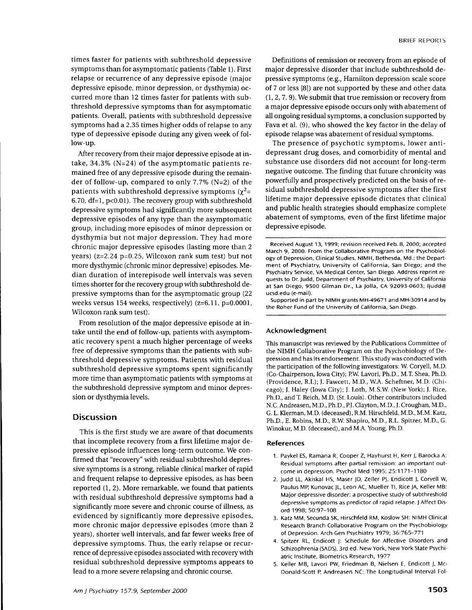times faster for patients with subthreshold depressive symptoms than for asymptomatic patients (Table l). First relapse or recurrence of any depressive episode (major depressive episode, minor depression, or dysthymia) occurred more than 12 times faster for patients with subthreshold depressive symptoms than for asymptomatic patients. Overall, patients with subthreshold depressive symptoms had a 2.35 times higher odds of relapse to any rype of depressive episode during any given week of follow-up.

After recovery from their major depressive episode at intake,  $34.3\%$  (N=24) of the asymptomatic patients remained free of any depressive episode during the remainder of follow-up, compared to only 7.7% (N=2) of the patients with subthreshold depressive symptoms ( $\chi^2$ = 6.70,  $df=1$ ,  $p<0.01$ ). The recovery group with subthreshold depressive symptoms had significantly more subsequent depressive episodes of any type than the asymptomatic group, including more episodes of minor depression or dysthymia but not major depression. They had more chronic major depressive episodes (lasting more than 2 years) ( $z=2.24$  p=0.25, Wilcoxon rank sum test) but not more dysthymic (chronic minor depressive) episodes. Median duration of interepisode well intervals was seven times shorter for the recoverygroup with subthreshold depressive symptoms than for the asymptomatic group (22 weeks versus 154 weeks, respectively) (z=6.1I, p=0.0001, Wilcoxon rank sum test).

From resolution of the major depressive episode at intake until the end of follow-up, patients with asymptomatic recovery spent a much higher percentage of weeks free of depressive symptoms than the patients with subthreshold depressive symptoms. Patients with residual subthreshold depressive symptoms spent significantly more time than asymptomatic patients with symptoms at the subthreshold depressive symptom and minor depression or dysthymia levels.

## **Discussion**

This is the first study we are aware of that documents that incomplete recovery from a first lifetime major depressive episode influences long-term outcome. We confirmed that "recovery" with residual subthreshold depressive symptoms is a strong, reliable clinical marker of rapid and frequent relapse to depressive episodes, as has been reported (1, 2). More remarkable, we found that patients with residual subthreshold depressive symptoms had a significantly more severe and chronic course of illness, as evidenced by significantly more depressive episodes, more chronic major depressive episodes (more than 2 years), shorter well intervals, and far fewer weeks free of depressive symptoms. Thus, the early relapse or recurrence of depressive episodes associated with recovery with residual subthreshold depressive symptoms appears to lead to a more severe relapsing and chronic course.

Definitions of remission or recovery from an episode of major depressive disorder that include subthreshold depressive symptoms (e.g., Hamilton depression scale score of 7 or less [8]) are not supported by these and other data (1,2,7,9). We submit that true remission or recovery from a major depressive episode occurs only with abatement of all ongoing residual syrnptoms, a conclusion supported by Fava et al. (9), who showed the key factor in the delay of episode relapse was abatement of residual symptoms.

The presence of psychotic symptoms, lower antidepressant drug doses, and comorbidity of mental and substance use disorders did not account for long-term negative outcome. The finding that future chronicity was powerfully and prospectively predicted on the basis of residual subthreshold depressive symptoms after the first lifetime major depressive episode dictates that clinical and public health strategies should emphasize complete abatement of symptoms, even of the first lifetime major depressive episode.

Supported in part by NIMH grants MH-49671 and MH-30914 and by the Roher Fund of the University of California, San Diego.

#### Acknowledgment

This manuscript was reviewed by the Publications Committee of the NIMH Collaborative Program on the Psychobiology of Depression and has its endorsement. This study was conducted with the participation of the following investigators: W. Coryell, M.D. (Co-Chairperson, Iowa City); PW. Lavori, Ph.D., M.T. Shea, Ph.D. (Providence, R.L); I. Fawcett, M.D., W.A. Scheftner, M.D. (Chicago); l. Haley (Iowa City); I. Loth, M.S.W. (New York); l. Rice, Ph.D., and T. Reich, M.D. (St. Louis). Other contributors included N.C. Andreasen, M.D., Ph.D., PI. Clayton, M.D., J. Croughan, M.D., G. L. Klerman, M.D. (deceased), R.M. Hirschfeld, M.D., M.M. Katz, Ph.D., E. Robins, M.D., R.W Shapiro, M.D., R.L. Spitzer, M.D., G. Winokur, M.D. (deceased), and M.A. Young, Ph.D.

#### References

- 1. Paykel ES, Ramana R, Cooper Z, Hayhurst H, Kerr J, Barocka A: Residual symptoms after partial remission: an important outcome in depression. Psychol Med 1995; 25:1171-1.180
- 2. Judd LL, Akiskal HS, Maser JD, Zeller PJ, Endicott J, Coryell w, Paulus MP, Kunovac JL, Leon AC, Mueller Tl, Rice JA, Keller MB: Major depressive disorder: a prospective study of subthreshold depressive symptoms as predictor of rapid relapse. J Affect Disord 1998; 50:97-108
- 3. Katz MM, Secunda SK, Hirschfeld RM, Koslow SH: NIMH Clinical Research Branch Collaborative Program on the Psychobiology of Depression. Arch Gen Psychiatry 1979; 36:765-771
- 4. Spitzer RL, Endicott l: Schedule for Affective Disorders and Schizophrenia (SADS), 3rd ed. New York, New York State Psychiatric Institute, Biometrics Research, 1977
- 5. Keller MB. Lavori PW. Friedman B, Nielsen E, Endicott J, Mc-Donald-Scott P, Andreasen NC: The Longitudinal Interval Fol-

Received August 13, 1999; revision received Feb. B,2000; accepted March 9, 2000. From the Collaborative Program on the Psychobiology of Depression, Clinical Studies, NIMH, Bethesda, Md.; the Department of Psychiatry, University of California, San Diego; and the Psychiatry Service, VA Medical Center, San Diego. Address reprint requests to Dr. Judd, Department of Psychiatry, University of California at san Diego, 950o Gilman Dr., La Jolla, cA 92093-0603; ljudd@ ucsd.edu (e-mail).